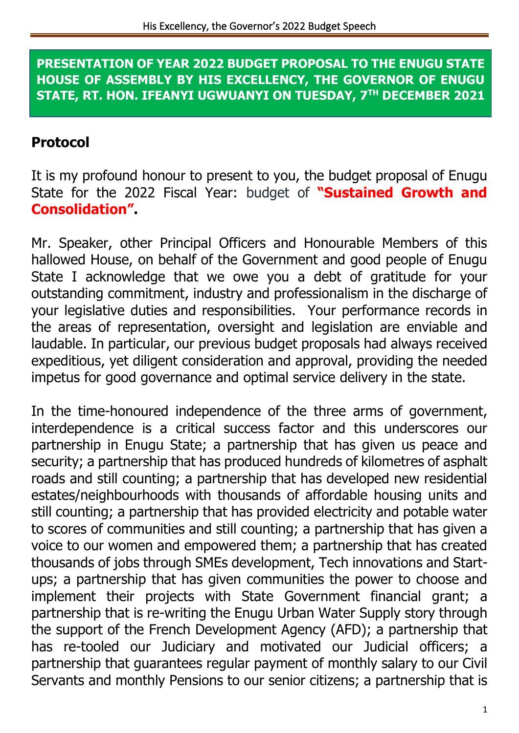**PRESENTATION OF YEAR 2022 BUDGET PROPOSAL TO THE ENUGU STATE HOUSE OF ASSEMBLY BY HIS EXCELLENCY, THE GOVERNOR OF ENUGU STATE, RT. HON. IFEANYI UGWUANYI ON TUESDAY, 7TH DECEMBER 2021**

#### **Protocol**

It is my profound honour to present to you, the budget proposal of Enugu State for the 2022 Fiscal Year: budget of **"Sustained Growth and Consolidation".**

Mr. Speaker, other Principal Officers and Honourable Members of this hallowed House, on behalf of the Government and good people of Enugu State I acknowledge that we owe you a debt of gratitude for your outstanding commitment, industry and professionalism in the discharge of your legislative duties and responsibilities. Your performance records in the areas of representation, oversight and legislation are enviable and laudable. In particular, our previous budget proposals had always received expeditious, yet diligent consideration and approval, providing the needed impetus for good governance and optimal service delivery in the state.

In the time-honoured independence of the three arms of government, interdependence is a critical success factor and this underscores our partnership in Enugu State; a partnership that has given us peace and security; a partnership that has produced hundreds of kilometres of asphalt roads and still counting; a partnership that has developed new residential estates/neighbourhoods with thousands of affordable housing units and still counting; a partnership that has provided electricity and potable water to scores of communities and still counting; a partnership that has given a voice to our women and empowered them; a partnership that has created thousands of jobs through SMEs development, Tech innovations and Startups; a partnership that has given communities the power to choose and implement their projects with State Government financial grant; a partnership that is re-writing the Enugu Urban Water Supply story through the support of the French Development Agency (AFD); a partnership that has re-tooled our Judiciary and motivated our Judicial officers; a partnership that guarantees regular payment of monthly salary to our Civil Servants and monthly Pensions to our senior citizens; a partnership that is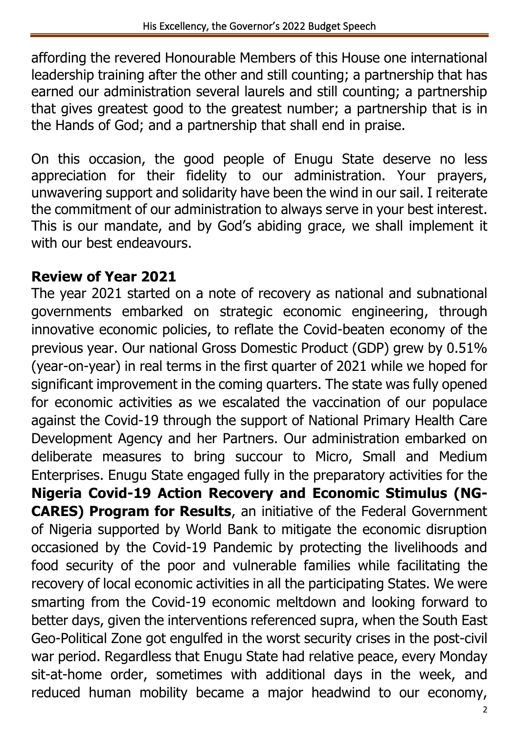affording the revered Honourable Members of this House one international leadership training after the other and still counting; a partnership that has earned our administration several laurels and still counting; a partnership that gives greatest good to the greatest number; a partnership that is in the Hands of God; and a partnership that shall end in praise.

On this occasion, the good people of Enugu State deserve no less appreciation for their fidelity to our administration. Your prayers, unwavering support and solidarity have been the wind in our sail. I reiterate the commitment of our administration to always serve in your best interest. This is our mandate, and by God's abiding grace, we shall implement it with our best endeavours.

### **Review of Year 2021**

The year 2021 started on a note of recovery as national and subnational governments embarked on strategic economic engineering, through innovative economic policies, to reflate the Covid-beaten economy of the previous year. Our national Gross Domestic Product (GDP) grew by 0.51% (year-on-year) in real terms in the first quarter of 2021 while we hoped for significant improvement in the coming quarters. The state was fully opened for economic activities as we escalated the vaccination of our populace against the Covid-19 through the support of National Primary Health Care Development Agency and her Partners. Our administration embarked on deliberate measures to bring succour to Micro, Small and Medium Enterprises. Enugu State engaged fully in the preparatory activities for the **Nigeria Covid-19 Action Recovery and Economic Stimulus (NG-CARES) Program for Results**, an initiative of the Federal Government of Nigeria supported by World Bank to mitigate the economic disruption occasioned by the Covid-19 Pandemic by protecting the livelihoods and food security of the poor and vulnerable families while facilitating the recovery of local economic activities in all the participating States. We were smarting from the Covid-19 economic meltdown and looking forward to better days, given the interventions referenced supra, when the South East Geo-Political Zone got engulfed in the worst security crises in the post-civil war period. Regardless that Enugu State had relative peace, every Monday sit-at-home order, sometimes with additional days in the week, and reduced human mobility became a major headwind to our economy,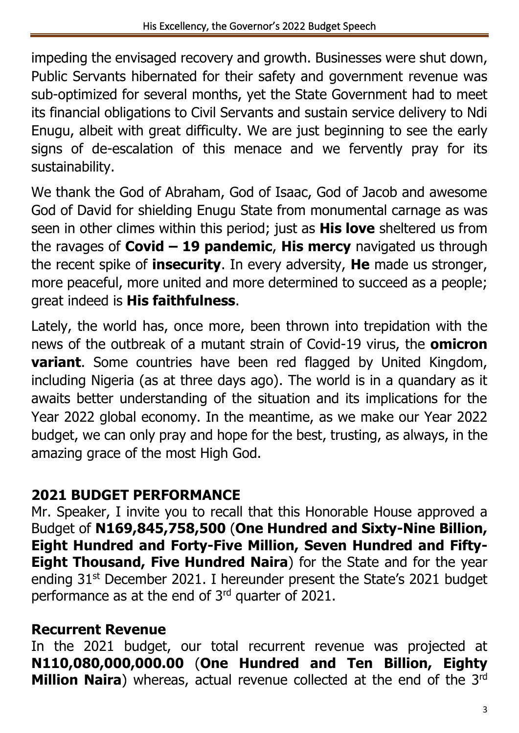impeding the envisaged recovery and growth. Businesses were shut down, Public Servants hibernated for their safety and government revenue was sub-optimized for several months, yet the State Government had to meet its financial obligations to Civil Servants and sustain service delivery to Ndi Enugu, albeit with great difficulty. We are just beginning to see the early signs of de-escalation of this menace and we fervently pray for its sustainability.

We thank the God of Abraham, God of Isaac, God of Jacob and awesome God of David for shielding Enugu State from monumental carnage as was seen in other climes within this period; just as **His love** sheltered us from the ravages of **Covid – 19 pandemic**, **His mercy** navigated us through the recent spike of **insecurity**. In every adversity, **He** made us stronger, more peaceful, more united and more determined to succeed as a people; great indeed is **His faithfulness**.

Lately, the world has, once more, been thrown into trepidation with the news of the outbreak of a mutant strain of Covid-19 virus, the **omicron variant**. Some countries have been red flagged by United Kingdom, including Nigeria (as at three days ago). The world is in a quandary as it awaits better understanding of the situation and its implications for the Year 2022 global economy. In the meantime, as we make our Year 2022 budget, we can only pray and hope for the best, trusting, as always, in the amazing grace of the most High God.

### **2021 BUDGET PERFORMANCE**

Mr. Speaker, I invite you to recall that this Honorable House approved a Budget of **N169,845,758,500** (**One Hundred and Sixty-Nine Billion, Eight Hundred and Forty-Five Million, Seven Hundred and Fifty-Eight Thousand, Five Hundred Naira**) for the State and for the year ending 31st December 2021. I hereunder present the State's 2021 budget performance as at the end of  $3<sup>rd</sup>$  quarter of 2021.

### **Recurrent Revenue**

In the 2021 budget, our total recurrent revenue was projected at **N110,080,000,000.00** (**One Hundred and Ten Billion, Eighty Million Naira**) whereas, actual revenue collected at the end of the 3rd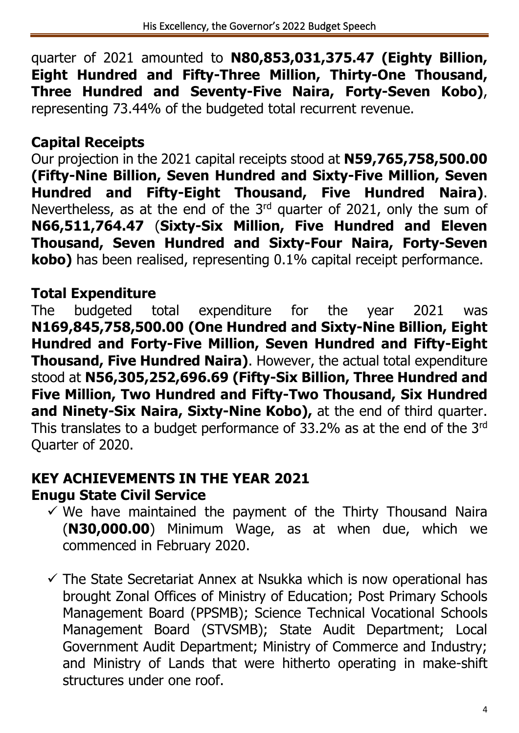quarter of 2021 amounted to **N80,853,031,375.47 (Eighty Billion, Eight Hundred and Fifty-Three Million, Thirty-One Thousand, Three Hundred and Seventy-Five Naira, Forty-Seven Kobo)**, representing 73.44% of the budgeted total recurrent revenue.

### **Capital Receipts**

Our projection in the 2021 capital receipts stood at **N59,765,758,500.00 (Fifty-Nine Billion, Seven Hundred and Sixty-Five Million, Seven Hundred and Fifty-Eight Thousand, Five Hundred Naira)**. Nevertheless, as at the end of the 3<sup>rd</sup> quarter of 2021, only the sum of **N66,511,764.47** (**Sixty-Six Million, Five Hundred and Eleven Thousand, Seven Hundred and Sixty-Four Naira, Forty-Seven kobo)** has been realised, representing 0.1% capital receipt performance.

### **Total Expenditure**

The budgeted total expenditure for the year 2021 was **N169,845,758,500.00 (One Hundred and Sixty-Nine Billion, Eight Hundred and Forty-Five Million, Seven Hundred and Fifty-Eight Thousand, Five Hundred Naira)**. However, the actual total expenditure stood at **N56,305,252,696.69 (Fifty-Six Billion, Three Hundred and Five Million, Two Hundred and Fifty-Two Thousand, Six Hundred and Ninety-Six Naira, Sixty-Nine Kobo),** at the end of third quarter. This translates to a budget performance of 33.2% as at the end of the 3rd Quarter of 2020.

#### **KEY ACHIEVEMENTS IN THE YEAR 2021 Enugu State Civil Service**

- $\checkmark$  We have maintained the payment of the Thirty Thousand Naira (**N30,000.00**) Minimum Wage, as at when due, which we commenced in February 2020.
- $\checkmark$  The State Secretariat Annex at Nsukka which is now operational has brought Zonal Offices of Ministry of Education; Post Primary Schools Management Board (PPSMB); Science Technical Vocational Schools Management Board (STVSMB); State Audit Department; Local Government Audit Department; Ministry of Commerce and Industry; and Ministry of Lands that were hitherto operating in make-shift structures under one roof.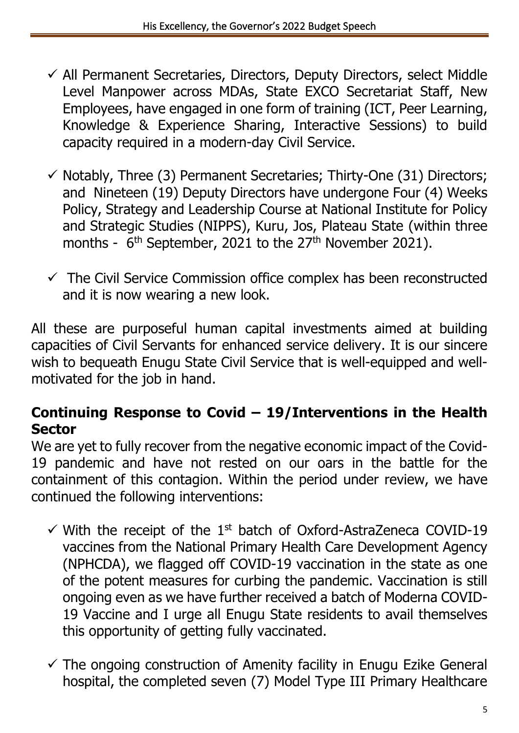- ✓ All Permanent Secretaries, Directors, Deputy Directors, select Middle Level Manpower across MDAs, State EXCO Secretariat Staff, New Employees, have engaged in one form of training (ICT, Peer Learning, Knowledge & Experience Sharing, Interactive Sessions) to build capacity required in a modern-day Civil Service.
- $\checkmark$  Notably, Three (3) Permanent Secretaries; Thirty-One (31) Directors; and Nineteen (19) Deputy Directors have undergone Four (4) Weeks Policy, Strategy and Leadership Course at National Institute for Policy and Strategic Studies (NIPPS), Kuru, Jos, Plateau State (within three months - 6<sup>th</sup> September, 2021 to the 27<sup>th</sup> November 2021).
- $\checkmark$  The Civil Service Commission office complex has been reconstructed and it is now wearing a new look.

All these are purposeful human capital investments aimed at building capacities of Civil Servants for enhanced service delivery. It is our sincere wish to bequeath Enugu State Civil Service that is well-equipped and wellmotivated for the job in hand.

#### **Continuing Response to Covid – 19/Interventions in the Health Sector**

We are yet to fully recover from the negative economic impact of the Covid-19 pandemic and have not rested on our oars in the battle for the containment of this contagion. Within the period under review, we have continued the following interventions:

- $\checkmark$  With the receipt of the 1<sup>st</sup> batch of Oxford-AstraZeneca COVID-19 vaccines from the National Primary Health Care Development Agency (NPHCDA), we flagged off COVID-19 vaccination in the state as one of the potent measures for curbing the pandemic. Vaccination is still ongoing even as we have further received a batch of Moderna COVID-19 Vaccine and I urge all Enugu State residents to avail themselves this opportunity of getting fully vaccinated.
- $\checkmark$  The ongoing construction of Amenity facility in Enugu Ezike General hospital, the completed seven (7) Model Type III Primary Healthcare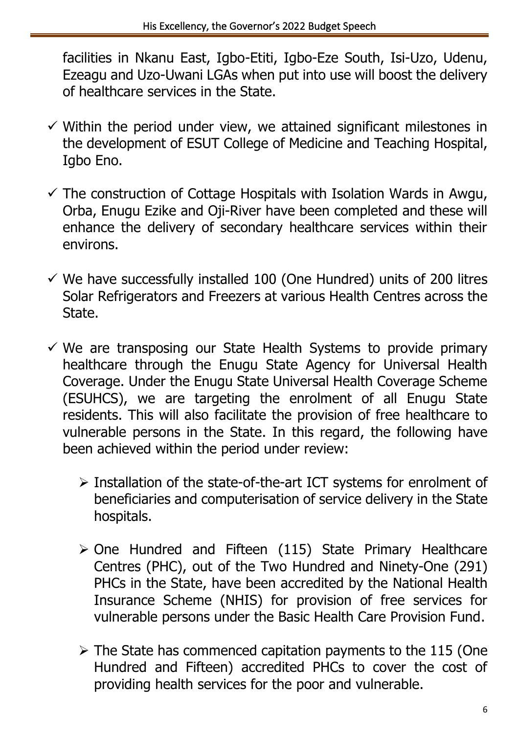facilities in Nkanu East, Igbo-Etiti, Igbo-Eze South, Isi-Uzo, Udenu, Ezeagu and Uzo-Uwani LGAs when put into use will boost the delivery of healthcare services in the State.

- $\checkmark$  Within the period under view, we attained significant milestones in the development of ESUT College of Medicine and Teaching Hospital, Igbo Eno.
- $\checkmark$  The construction of Cottage Hospitals with Isolation Wards in Awgu, Orba, Enugu Ezike and Oji-River have been completed and these will enhance the delivery of secondary healthcare services within their environs.
- $\checkmark$  We have successfully installed 100 (One Hundred) units of 200 litres Solar Refrigerators and Freezers at various Health Centres across the State.
- $\checkmark$  We are transposing our State Health Systems to provide primary healthcare through the Enugu State Agency for Universal Health Coverage. Under the Enugu State Universal Health Coverage Scheme (ESUHCS), we are targeting the enrolment of all Enugu State residents. This will also facilitate the provision of free healthcare to vulnerable persons in the State. In this regard, the following have been achieved within the period under review:
	- ➢ Installation of the state-of-the-art ICT systems for enrolment of beneficiaries and computerisation of service delivery in the State hospitals.
	- ➢ One Hundred and Fifteen (115) State Primary Healthcare Centres (PHC), out of the Two Hundred and Ninety-One (291) PHCs in the State, have been accredited by the National Health Insurance Scheme (NHIS) for provision of free services for vulnerable persons under the Basic Health Care Provision Fund.
	- $\triangleright$  The State has commenced capitation payments to the 115 (One Hundred and Fifteen) accredited PHCs to cover the cost of providing health services for the poor and vulnerable.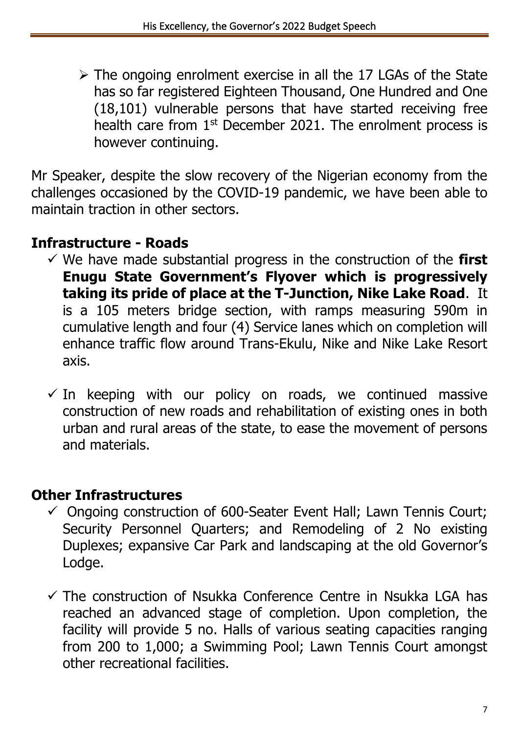➢ The ongoing enrolment exercise in all the 17 LGAs of the State has so far registered Eighteen Thousand, One Hundred and One (18,101) vulnerable persons that have started receiving free health care from 1<sup>st</sup> December 2021. The enrolment process is however continuing.

Mr Speaker, despite the slow recovery of the Nigerian economy from the challenges occasioned by the COVID-19 pandemic, we have been able to maintain traction in other sectors.

### **Infrastructure - Roads**

- ✓ We have made substantial progress in the construction of the **first Enugu State Government's Flyover which is progressively taking its pride of place at the T-Junction, Nike Lake Road**. It is a 105 meters bridge section, with ramps measuring 590m in cumulative length and four (4) Service lanes which on completion will enhance traffic flow around Trans-Ekulu, Nike and Nike Lake Resort axis.
- $\checkmark$  In keeping with our policy on roads, we continued massive construction of new roads and rehabilitation of existing ones in both urban and rural areas of the state, to ease the movement of persons and materials.

### **Other Infrastructures**

- $\checkmark$  Ongoing construction of 600-Seater Event Hall; Lawn Tennis Court; Security Personnel Quarters; and Remodeling of 2 No existing Duplexes; expansive Car Park and landscaping at the old Governor's Lodge.
- $\checkmark$  The construction of Nsukka Conference Centre in Nsukka LGA has reached an advanced stage of completion. Upon completion, the facility will provide 5 no. Halls of various seating capacities ranging from 200 to 1,000; a Swimming Pool; Lawn Tennis Court amongst other recreational facilities.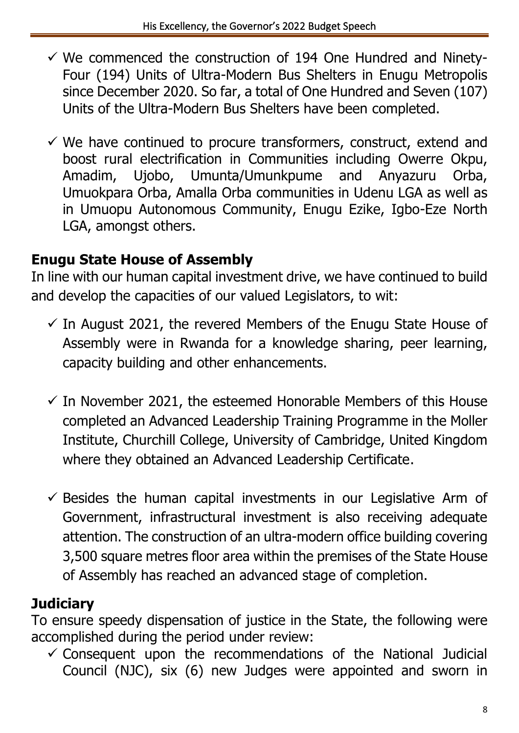- $\checkmark$  We commenced the construction of 194 One Hundred and Ninety-Four (194) Units of Ultra-Modern Bus Shelters in Enugu Metropolis since December 2020. So far, a total of One Hundred and Seven (107) Units of the Ultra-Modern Bus Shelters have been completed.
- $\checkmark$  We have continued to procure transformers, construct, extend and boost rural electrification in Communities including Owerre Okpu, Amadim, Ujobo, Umunta/Umunkpume and Anyazuru Orba, Umuokpara Orba, Amalla Orba communities in Udenu LGA as well as in Umuopu Autonomous Community, Enugu Ezike, Igbo-Eze North LGA, amongst others.

### **Enugu State House of Assembly**

In line with our human capital investment drive, we have continued to build and develop the capacities of our valued Legislators, to wit:

- $\checkmark$  In August 2021, the revered Members of the Enugu State House of Assembly were in Rwanda for a knowledge sharing, peer learning, capacity building and other enhancements.
- $\checkmark$  In November 2021, the esteemed Honorable Members of this House completed an Advanced Leadership Training Programme in the Moller Institute, Churchill College, University of Cambridge, United Kingdom where they obtained an Advanced Leadership Certificate.
- $\checkmark$  Besides the human capital investments in our Legislative Arm of Government, infrastructural investment is also receiving adequate attention. The construction of an ultra-modern office building covering 3,500 square metres floor area within the premises of the State House of Assembly has reached an advanced stage of completion.

### **Judiciary**

To ensure speedy dispensation of justice in the State, the following were accomplished during the period under review:

 $\checkmark$  Consequent upon the recommendations of the National Judicial Council (NJC), six (6) new Judges were appointed and sworn in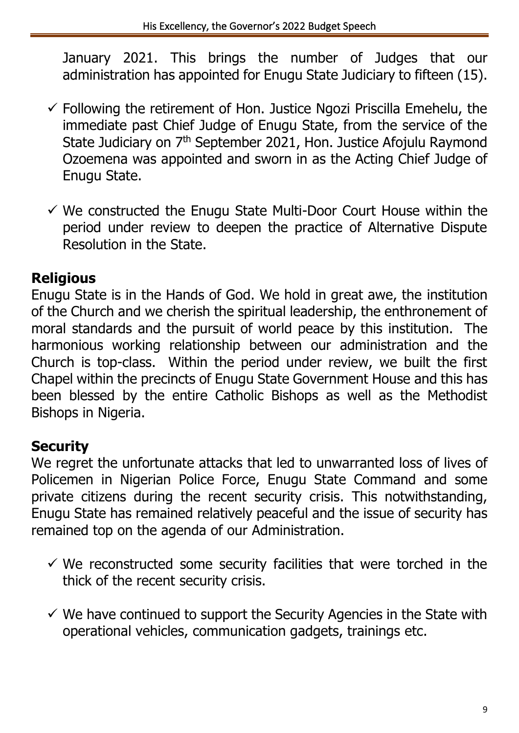January 2021. This brings the number of Judges that our administration has appointed for Enugu State Judiciary to fifteen (15).

- $\checkmark$  Following the retirement of Hon. Justice Ngozi Priscilla Emehelu, the immediate past Chief Judge of Enugu State, from the service of the State Judiciary on 7<sup>th</sup> September 2021, Hon. Justice Afojulu Raymond Ozoemena was appointed and sworn in as the Acting Chief Judge of Enugu State.
- $\checkmark$  We constructed the Enugu State Multi-Door Court House within the period under review to deepen the practice of Alternative Dispute Resolution in the State.

### **Religious**

Enugu State is in the Hands of God. We hold in great awe, the institution of the Church and we cherish the spiritual leadership, the enthronement of moral standards and the pursuit of world peace by this institution.The harmonious working relationship between our administration and the Church is top-class. Within the period under review, we built the first Chapel within the precincts of Enugu State Government House and this has been blessed by the entire Catholic Bishops as well as the Methodist Bishops in Nigeria.

## **Security**

We regret the unfortunate attacks that led to unwarranted loss of lives of Policemen in Nigerian Police Force, Enugu State Command and some private citizens during the recent security crisis. This notwithstanding, Enugu State has remained relatively peaceful and the issue of security has remained top on the agenda of our Administration.

- $\checkmark$  We reconstructed some security facilities that were torched in the thick of the recent security crisis.
- $\checkmark$  We have continued to support the Security Agencies in the State with operational vehicles, communication gadgets, trainings etc.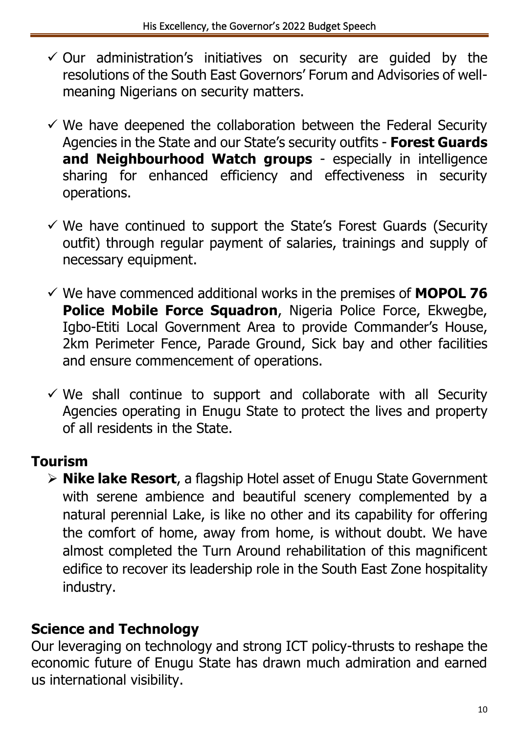- $\checkmark$  Our administration's initiatives on security are guided by the resolutions of the South East Governors' Forum and Advisories of wellmeaning Nigerians on security matters.
- $\checkmark$  We have deepened the collaboration between the Federal Security Agencies in the State and our State's security outfits - **Forest Guards and Neighbourhood Watch groups** - especially in intelligence sharing for enhanced efficiency and effectiveness in security operations.
- $\checkmark$  We have continued to support the State's Forest Guards (Security outfit) through regular payment of salaries, trainings and supply of necessary equipment.
- ✓ We have commenced additional works in the premises of **MOPOL 76 Police Mobile Force Squadron**, Nigeria Police Force, Ekwegbe, Igbo-Etiti Local Government Area to provide Commander's House, 2km Perimeter Fence, Parade Ground, Sick bay and other facilities and ensure commencement of operations.
- $\checkmark$  We shall continue to support and collaborate with all Security Agencies operating in Enugu State to protect the lives and property of all residents in the State.

### **Tourism**

➢ **Nike lake Resort**, a flagship Hotel asset of Enugu State Government with serene ambience and beautiful scenery complemented by a natural perennial Lake, is like no other and its capability for offering the comfort of home, away from home, is without doubt. We have almost completed the Turn Around rehabilitation of this magnificent edifice to recover its leadership role in the South East Zone hospitality industry.

### **Science and Technology**

Our leveraging on technology and strong ICT policy-thrusts to reshape the economic future of Enugu State has drawn much admiration and earned us international visibility.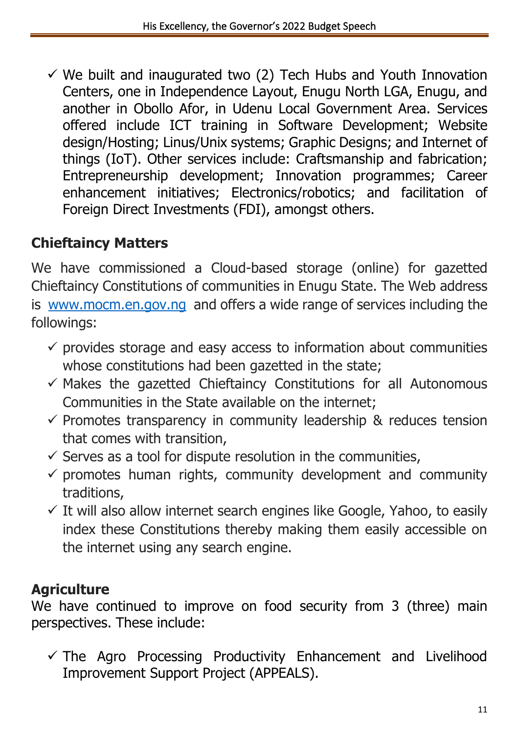$\checkmark$  We built and inaugurated two (2) Tech Hubs and Youth Innovation Centers, one in Independence Layout, Enugu North LGA, Enugu, and another in Obollo Afor, in Udenu Local Government Area. Services offered include ICT training in Software Development; Website design/Hosting; Linus/Unix systems; Graphic Designs; and Internet of things (IoT). Other services include: Craftsmanship and fabrication; Entrepreneurship development; Innovation programmes; Career enhancement initiatives; Electronics/robotics; and facilitation of Foreign Direct Investments (FDI), amongst others.

## **Chieftaincy Matters**

We have commissioned a Cloud-based storage (online) for gazetted Chieftaincy Constitutions of communities in Enugu State. The Web address is [www.mocm.en.gov.ng](http://www.mocm.en.gov.ng/) and offers a wide range of services including the followings:

- $\checkmark$  provides storage and easy access to information about communities whose constitutions had been gazetted in the state;
- $\checkmark$  Makes the gazetted Chieftaincy Constitutions for all Autonomous Communities in the State available on the internet;
- $\checkmark$  Promotes transparency in community leadership & reduces tension that comes with transition,
- $\checkmark$  Serves as a tool for dispute resolution in the communities,
- $\checkmark$  promotes human rights, community development and community traditions,
- $\checkmark$  It will also allow internet search engines like Google, Yahoo, to easily index these Constitutions thereby making them easily accessible on the internet using any search engine.

## **Agriculture**

We have continued to improve on food security from 3 (three) main perspectives. These include:

 $\checkmark$  The Agro Processing Productivity Enhancement and Livelihood Improvement Support Project (APPEALS).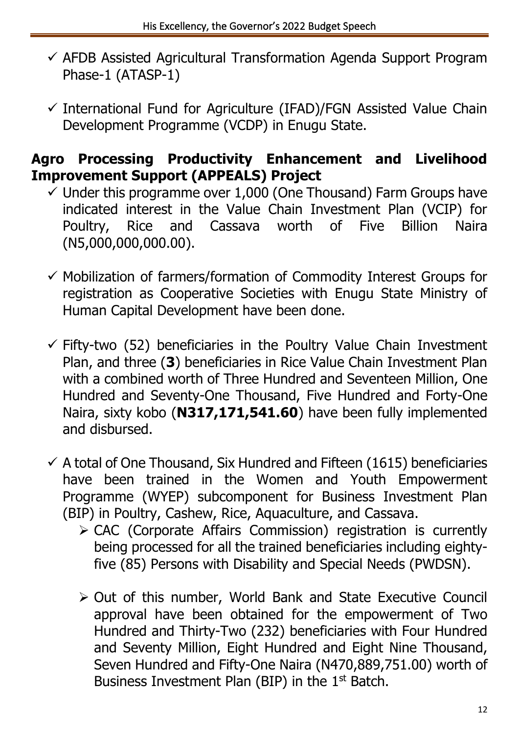- $\checkmark$  AFDB Assisted Agricultural Transformation Agenda Support Program Phase-1 (ATASP-1)
- $\checkmark$  International Fund for Agriculture (IFAD)/FGN Assisted Value Chain Development Programme (VCDP) in Enugu State.

#### **Agro Processing Productivity Enhancement and Livelihood Improvement Support (APPEALS) Project**

- $\checkmark$  Under this programme over 1,000 (One Thousand) Farm Groups have indicated interest in the Value Chain Investment Plan (VCIP) for Poultry, Rice and Cassava worth of Five Billion Naira (N5,000,000,000.00).
- ✓ Mobilization of farmers/formation of Commodity Interest Groups for registration as Cooperative Societies with Enugu State Ministry of Human Capital Development have been done.
- $\checkmark$  Fifty-two (52) beneficiaries in the Poultry Value Chain Investment Plan, and three (**3**) beneficiaries in Rice Value Chain Investment Plan with a combined worth of Three Hundred and Seventeen Million, One Hundred and Seventy-One Thousand, Five Hundred and Forty-One Naira, sixty kobo (**N317,171,541.60**) have been fully implemented and disbursed.
- $\checkmark$  A total of One Thousand, Six Hundred and Fifteen (1615) beneficiaries have been trained in the Women and Youth Empowerment Programme (WYEP) subcomponent for Business Investment Plan (BIP) in Poultry, Cashew, Rice, Aquaculture, and Cassava.
	- ➢ CAC (Corporate Affairs Commission) registration is currently being processed for all the trained beneficiaries including eightyfive (85) Persons with Disability and Special Needs (PWDSN).
	- ➢ Out of this number, World Bank and State Executive Council approval have been obtained for the empowerment of Two Hundred and Thirty-Two (232) beneficiaries with Four Hundred and Seventy Million, Eight Hundred and Eight Nine Thousand, Seven Hundred and Fifty-One Naira (N470,889,751.00) worth of Business Investment Plan (BIP) in the 1st Batch.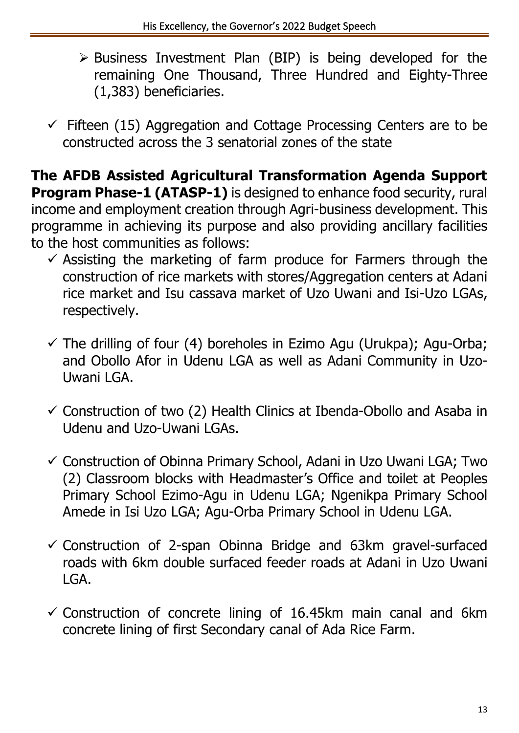- ➢ Business Investment Plan (BIP) is being developed for the remaining One Thousand, Three Hundred and Eighty-Three (1,383) beneficiaries.
- $\checkmark$  Fifteen (15) Aggregation and Cottage Processing Centers are to be constructed across the 3 senatorial zones of the state

**The AFDB Assisted Agricultural Transformation Agenda Support Program Phase-1 (ATASP-1)** is designed to enhance food security, rural income and employment creation through Agri-business development. This programme in achieving its purpose and also providing ancillary facilities to the host communities as follows:

- $\checkmark$  Assisting the marketing of farm produce for Farmers through the construction of rice markets with stores/Aggregation centers at Adani rice market and Isu cassava market of Uzo Uwani and Isi-Uzo LGAs, respectively.
- $\checkmark$  The drilling of four (4) boreholes in Ezimo Agu (Urukpa); Agu-Orba; and Obollo Afor in Udenu LGA as well as Adani Community in Uzo-Uwani LGA.
- $\checkmark$  Construction of two (2) Health Clinics at Ibenda-Obollo and Asaba in Udenu and Uzo-Uwani LGAs.
- $\checkmark$  Construction of Obinna Primary School, Adani in Uzo Uwani LGA; Two (2) Classroom blocks with Headmaster's Office and toilet at Peoples Primary School Ezimo-Agu in Udenu LGA; Ngenikpa Primary School Amede in Isi Uzo LGA; Agu-Orba Primary School in Udenu LGA.
- $\checkmark$  Construction of 2-span Obinna Bridge and 63km gravel-surfaced roads with 6km double surfaced feeder roads at Adani in Uzo Uwani LGA.
- $\checkmark$  Construction of concrete lining of 16.45km main canal and 6km concrete lining of first Secondary canal of Ada Rice Farm.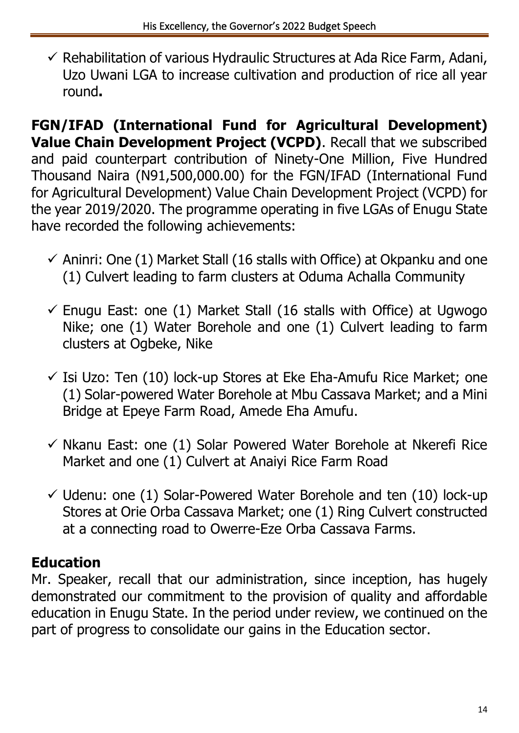$\checkmark$  Rehabilitation of various Hydraulic Structures at Ada Rice Farm, Adani, Uzo Uwani LGA to increase cultivation and production of rice all year round**.**

**FGN/IFAD (International Fund for Agricultural Development) Value Chain Development Project (VCPD)**. Recall that we subscribed and paid counterpart contribution of Ninety-One Million, Five Hundred Thousand Naira (N91,500,000.00) for the FGN/IFAD (International Fund for Agricultural Development) Value Chain Development Project (VCPD) for the year 2019/2020. The programme operating in five LGAs of Enugu State have recorded the following achievements:

- $\checkmark$  Aninri: One (1) Market Stall (16 stalls with Office) at Okpanku and one (1) Culvert leading to farm clusters at Oduma Achalla Community
- $\checkmark$  Enugu East: one (1) Market Stall (16 stalls with Office) at Ugwogo Nike; one (1) Water Borehole and one (1) Culvert leading to farm clusters at Ogbeke, Nike
- $\checkmark$  Isi Uzo: Ten (10) lock-up Stores at Eke Eha-Amufu Rice Market; one (1) Solar-powered Water Borehole at Mbu Cassava Market; and a Mini Bridge at Epeye Farm Road, Amede Eha Amufu.
- $\checkmark$  Nkanu East: one (1) Solar Powered Water Borehole at Nkerefi Rice Market and one (1) Culvert at Anaiyi Rice Farm Road
- $\checkmark$  Udenu: one (1) Solar-Powered Water Borehole and ten (10) lock-up Stores at Orie Orba Cassava Market; one (1) Ring Culvert constructed at a connecting road to Owerre-Eze Orba Cassava Farms.

## **Education**

Mr. Speaker, recall that our administration, since inception, has hugely demonstrated our commitment to the provision of quality and affordable education in Enugu State. In the period under review, we continued on the part of progress to consolidate our gains in the Education sector.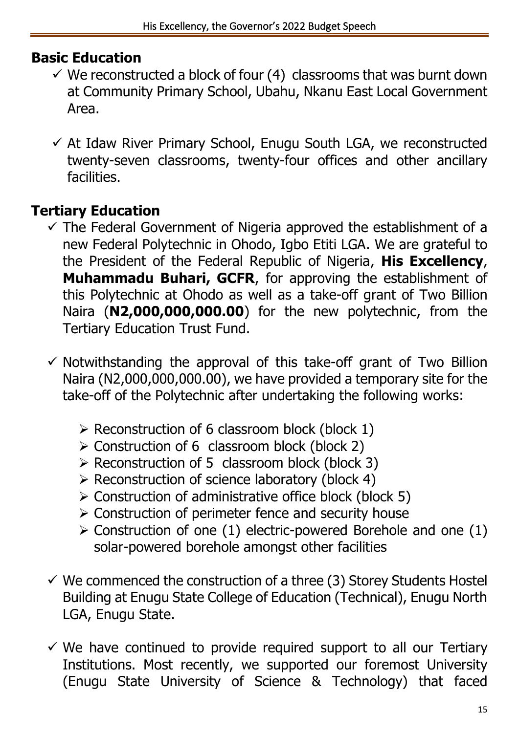#### **Basic Education**

- $\checkmark$  We reconstructed a block of four (4) classrooms that was burnt down at Community Primary School, Ubahu, Nkanu East Local Government Area.
- $\checkmark$  At Idaw River Primary School, Enugu South LGA, we reconstructed twenty-seven classrooms, twenty-four offices and other ancillary facilities.

### **Tertiary Education**

- $\checkmark$  The Federal Government of Nigeria approved the establishment of a new Federal Polytechnic in Ohodo, Igbo Etiti LGA. We are grateful to the President of the Federal Republic of Nigeria, **His Excellency**, **Muhammadu Buhari, GCFR**, for approving the establishment of this Polytechnic at Ohodo as well as a take-off grant of Two Billion Naira (**N2,000,000,000.00**) for the new polytechnic, from the Tertiary Education Trust Fund.
- $\checkmark$  Notwithstanding the approval of this take-off grant of Two Billion Naira (N2,000,000,000.00), we have provided a temporary site for the take-off of the Polytechnic after undertaking the following works:
	- $\triangleright$  Reconstruction of 6 classroom block (block 1)
	- ➢ Construction of 6 classroom block (block 2)
	- ➢ Reconstruction of 5 classroom block (block 3)
	- ➢ Reconstruction of science laboratory (block 4)
	- ➢ Construction of administrative office block (block 5)
	- ➢ Construction of perimeter fence and security house
	- $\triangleright$  Construction of one (1) electric-powered Borehole and one (1) solar-powered borehole amongst other facilities
- $\checkmark$  We commenced the construction of a three (3) Storey Students Hostel Building at Enugu State College of Education (Technical), Enugu North LGA, Enugu State.
- $\checkmark$  We have continued to provide required support to all our Tertiary Institutions. Most recently, we supported our foremost University (Enugu State University of Science & Technology) that faced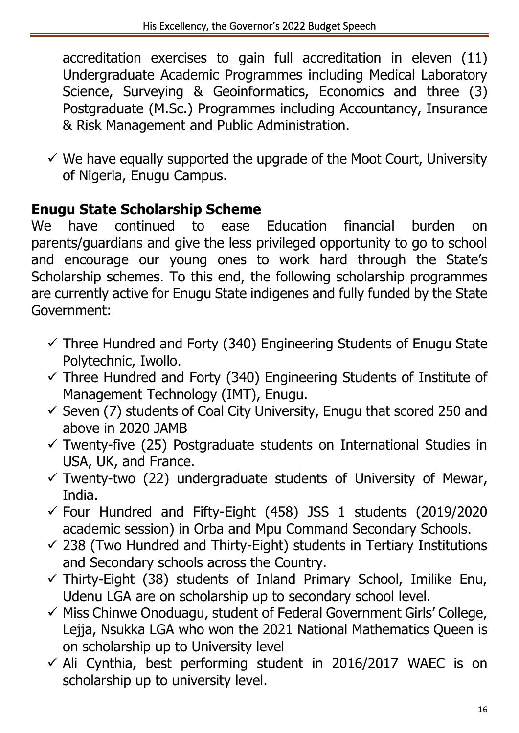accreditation exercises to gain full accreditation in eleven (11) Undergraduate Academic Programmes including Medical Laboratory Science, Surveying & Geoinformatics, Economics and three (3) Postgraduate (M.Sc.) Programmes including Accountancy, Insurance & Risk Management and Public Administration.

 $\checkmark$  We have equally supported the upgrade of the Moot Court, University of Nigeria, Enugu Campus.

### **Enugu State Scholarship Scheme**

We have continued to ease Education financial burden on parents/guardians and give the less privileged opportunity to go to school and encourage our young ones to work hard through the State's Scholarship schemes. To this end, the following scholarship programmes are currently active for Enugu State indigenes and fully funded by the State Government:

- $\checkmark$  Three Hundred and Forty (340) Engineering Students of Enugu State Polytechnic, Iwollo.
- $\checkmark$  Three Hundred and Forty (340) Engineering Students of Institute of Management Technology (IMT), Enugu.
- $\checkmark$  Seven (7) students of Coal City University, Enugu that scored 250 and above in 2020 JAMB
- $\checkmark$  Twenty-five (25) Postgraduate students on International Studies in USA, UK, and France.
- $\checkmark$  Twenty-two (22) undergraduate students of University of Mewar, India.
- $\checkmark$  Four Hundred and Fifty-Eight (458) JSS 1 students (2019/2020 academic session) in Orba and Mpu Command Secondary Schools.
- $\checkmark$  238 (Two Hundred and Thirty-Eight) students in Tertiary Institutions and Secondary schools across the Country.
- $\checkmark$  Thirty-Eight (38) students of Inland Primary School, Imilike Enu, Udenu LGA are on scholarship up to secondary school level.
- ✓ Miss Chinwe Onoduagu, student of Federal Government Girls' College, Lejja, Nsukka LGA who won the 2021 National Mathematics Queen is on scholarship up to University level
- $\checkmark$  Ali Cynthia, best performing student in 2016/2017 WAEC is on scholarship up to university level.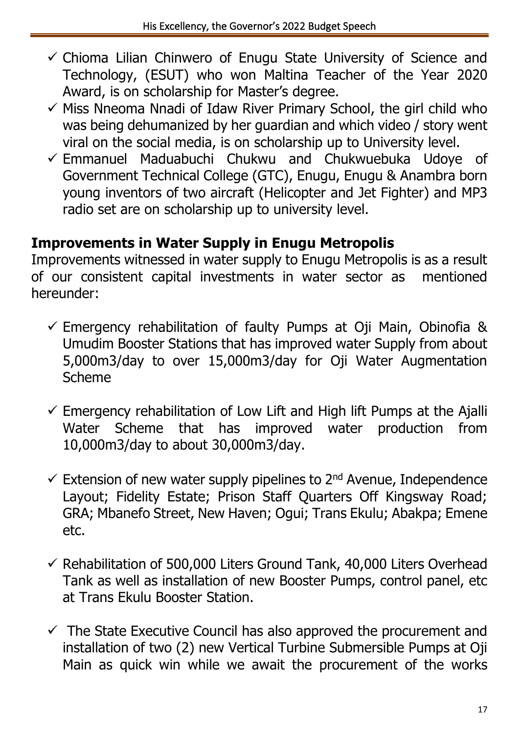- $\checkmark$  Chioma Lilian Chinwero of Enugu State University of Science and Technology, (ESUT) who won Maltina Teacher of the Year 2020 Award, is on scholarship for Master's degree.
- $\checkmark$  Miss Nneoma Nnadi of Idaw River Primary School, the girl child who was being dehumanized by her guardian and which video / story went viral on the social media, is on scholarship up to University level.
- $\checkmark$  Emmanuel Maduabuchi Chukwu and Chukwuebuka Udoye of Government Technical College (GTC), Enugu, Enugu & Anambra born young inventors of two aircraft (Helicopter and Jet Fighter) and MP3 radio set are on scholarship up to university level.

### **Improvements in Water Supply in Enugu Metropolis**

Improvements witnessed in water supply to Enugu Metropolis is as a result of our consistent capital investments in water sector as mentioned hereunder:

- $\checkmark$  Emergency rehabilitation of faulty Pumps at Oji Main, Obinofia & Umudim Booster Stations that has improved water Supply from about 5,000m3/day to over 15,000m3/day for Oji Water Augmentation Scheme
- $\checkmark$  Emergency rehabilitation of Low Lift and High lift Pumps at the Ajalli Water Scheme that has improved water production from 10,000m3/day to about 30,000m3/day.
- $\checkmark$  Extension of new water supply pipelines to 2<sup>nd</sup> Avenue, Independence Layout; Fidelity Estate; Prison Staff Quarters Off Kingsway Road; GRA; Mbanefo Street, New Haven; Ogui; Trans Ekulu; Abakpa; Emene etc.
- $\checkmark$  Rehabilitation of 500,000 Liters Ground Tank, 40,000 Liters Overhead Tank as well as installation of new Booster Pumps, control panel, etc at Trans Ekulu Booster Station.
- $\checkmark$  The State Executive Council has also approved the procurement and installation of two (2) new Vertical Turbine Submersible Pumps at Oji Main as quick win while we await the procurement of the works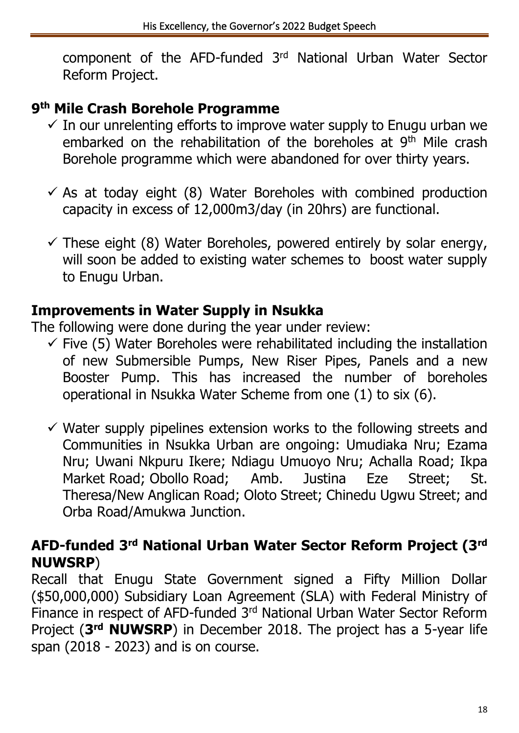component of the AFD-funded 3rd National Urban Water Sector Reform Project.

#### **9 th Mile Crash Borehole Programme**

- $\checkmark$  In our unrelenting efforts to improve water supply to Enugu urban we embarked on the rehabilitation of the boreholes at 9<sup>th</sup> Mile crash Borehole programme which were abandoned for over thirty years.
- $\checkmark$  As at today eight (8) Water Boreholes with combined production capacity in excess of 12,000m3/day (in 20hrs) are functional.
- $\checkmark$  These eight (8) Water Boreholes, powered entirely by solar energy, will soon be added to existing water schemes to boost water supply to Enugu Urban.

#### **Improvements in Water Supply in Nsukka**

The following were done during the year under review:

- $\checkmark$  Five (5) Water Boreholes were rehabilitated including the installation of new Submersible Pumps, New Riser Pipes, Panels and a new Booster Pump. This has increased the number of boreholes operational in Nsukka Water Scheme from one (1) to six (6).
- $\checkmark$  Water supply pipelines extension works to the following streets and Communities in Nsukka Urban are ongoing: Umudiaka Nru; Ezama Nru; Uwani Nkpuru Ikere; Ndiagu Umuoyo Nru; Achalla Road; Ikpa Market Road; Obollo Road; Amb. Justina Eze Street; St. Theresa/New Anglican Road; Oloto Street; Chinedu Ugwu Street; and Orba Road/Amukwa Junction.

#### **AFD-funded 3rd National Urban Water Sector Reform Project (3rd NUWSRP**)

Recall that Enugu State Government signed a Fifty Million Dollar (\$50,000,000) Subsidiary Loan Agreement (SLA) with Federal Ministry of Finance in respect of AFD-funded 3rd National Urban Water Sector Reform Project (3<sup>rd</sup> NUWSRP) in December 2018. The project has a 5-year life span (2018 - 2023) and is on course.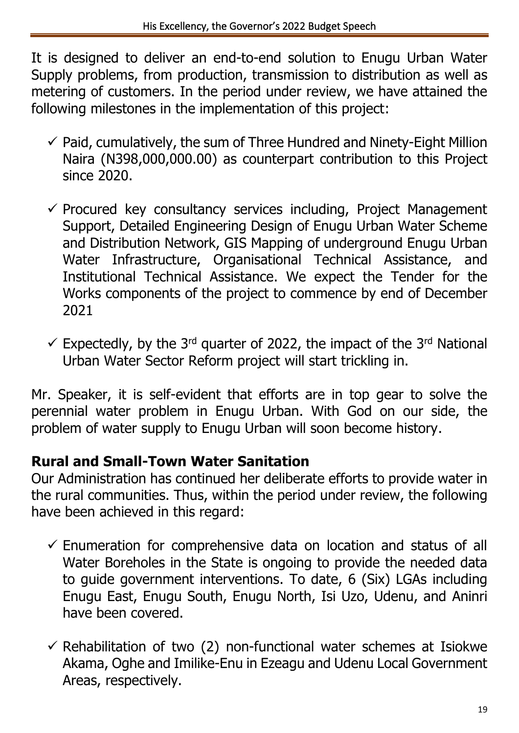It is designed to deliver an end-to-end solution to Enugu Urban Water Supply problems, from production, transmission to distribution as well as metering of customers. In the period under review, we have attained the following milestones in the implementation of this project:

- $\checkmark$  Paid, cumulatively, the sum of Three Hundred and Ninety-Eight Million Naira (N398,000,000.00) as counterpart contribution to this Project since 2020.
- $\checkmark$  Procured key consultancy services including, Project Management Support, Detailed Engineering Design of Enugu Urban Water Scheme and Distribution Network, GIS Mapping of underground Enugu Urban Water Infrastructure, Organisational Technical Assistance, and Institutional Technical Assistance. We expect the Tender for the Works components of the project to commence by end of December 2021
- $\checkmark$  Expectedly, by the 3<sup>rd</sup> quarter of 2022, the impact of the 3<sup>rd</sup> National Urban Water Sector Reform project will start trickling in.

Mr. Speaker, it is self-evident that efforts are in top gear to solve the perennial water problem in Enugu Urban. With God on our side, the problem of water supply to Enugu Urban will soon become history.

### **Rural and Small-Town Water Sanitation**

Our Administration has continued her deliberate efforts to provide water in the rural communities. Thus, within the period under review, the following have been achieved in this regard:

- $\checkmark$  Enumeration for comprehensive data on location and status of all Water Boreholes in the State is ongoing to provide the needed data to guide government interventions. To date, 6 (Six) LGAs including Enugu East, Enugu South, Enugu North, Isi Uzo, Udenu, and Aninri have been covered.
- $\checkmark$  Rehabilitation of two (2) non-functional water schemes at Isiokwe Akama, Oghe and Imilike-Enu in Ezeagu and Udenu Local Government Areas, respectively.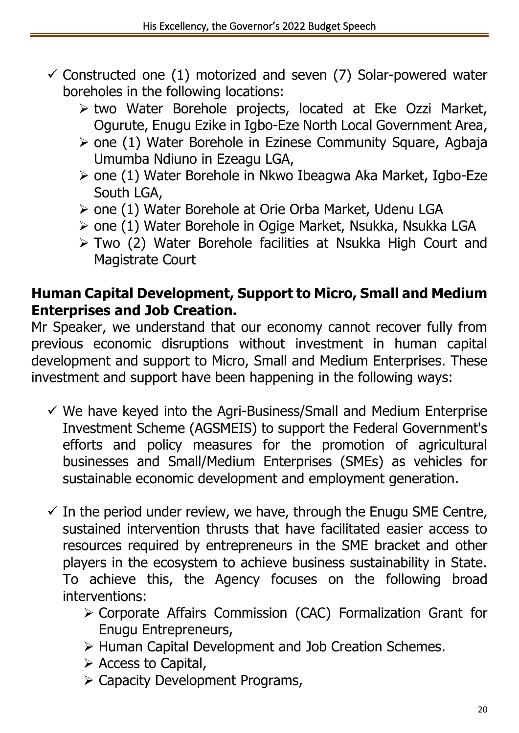- $\checkmark$  Constructed one (1) motorized and seven (7) Solar-powered water boreholes in the following locations:
	- ➢ two Water Borehole projects, located at Eke Ozzi Market, Ogurute, Enugu Ezike in Igbo-Eze North Local Government Area,
	- ➢ one (1) Water Borehole in Ezinese Community Square, Agbaja Umumba Ndiuno in Ezeagu LGA,
	- ➢ one (1) Water Borehole in Nkwo Ibeagwa Aka Market, Igbo-Eze South LGA,
	- ➢ one (1) Water Borehole at Orie Orba Market, Udenu LGA
	- ➢ one (1) Water Borehole in Ogige Market, Nsukka, Nsukka LGA
	- ➢ Two (2) Water Borehole facilities at Nsukka High Court and Magistrate Court

#### **Human Capital Development, Support to Micro, Small and Medium Enterprises and Job Creation.**

Mr Speaker, we understand that our economy cannot recover fully from previous economic disruptions without investment in human capital development and support to Micro, Small and Medium Enterprises. These investment and support have been happening in the following ways:

- $\checkmark$  We have keyed into the Agri-Business/Small and Medium Enterprise Investment Scheme (AGSMEIS) to support the Federal Government's efforts and policy measures for the promotion of agricultural businesses and Small/Medium Enterprises (SMEs) as vehicles for sustainable economic development and employment generation.
- $\checkmark$  In the period under review, we have, through the Enugu SME Centre, sustained intervention thrusts that have facilitated easier access to resources required by entrepreneurs in the SME bracket and other players in the ecosystem to achieve business sustainability in State. To achieve this, the Agency focuses on the following broad interventions:
	- ➢ Corporate Affairs Commission (CAC) Formalization Grant for Enugu Entrepreneurs,
	- ➢ Human Capital Development and Job Creation Schemes.
	- ➢ Access to Capital,
	- ➢ Capacity Development Programs,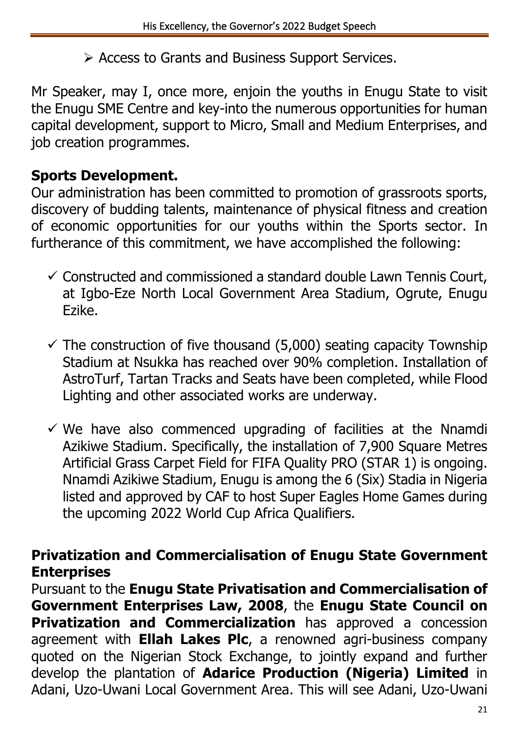➢ Access to Grants and Business Support Services.

Mr Speaker, may I, once more, enjoin the youths in Enugu State to visit the Enugu SME Centre and key-into the numerous opportunities for human capital development, support to Micro, Small and Medium Enterprises, and job creation programmes.

#### **Sports Development.**

Our administration has been committed to promotion of grassroots sports, discovery of budding talents, maintenance of physical fitness and creation of economic opportunities for our youths within the Sports sector. In furtherance of this commitment, we have accomplished the following:

- $\checkmark$  Constructed and commissioned a standard double Lawn Tennis Court, at Igbo-Eze North Local Government Area Stadium, Ogrute, Enugu Ezike.
- $\checkmark$  The construction of five thousand (5,000) seating capacity Township Stadium at Nsukka has reached over 90% completion. Installation of AstroTurf, Tartan Tracks and Seats have been completed, while Flood Lighting and other associated works are underway.
- $\checkmark$  We have also commenced upgrading of facilities at the Nnamdi Azikiwe Stadium. Specifically, the installation of 7,900 Square Metres Artificial Grass Carpet Field for FIFA Quality PRO (STAR 1) is ongoing. Nnamdi Azikiwe Stadium, Enugu is among the 6 (Six) Stadia in Nigeria listed and approved by CAF to host Super Eagles Home Games during the upcoming 2022 World Cup Africa Qualifiers.

#### **Privatization and Commercialisation of Enugu State Government Enterprises**

Pursuant to the **Enugu State Privatisation and Commercialisation of Government Enterprises Law, 2008**, the **Enugu State Council on Privatization and Commercialization** has approved a concession agreement with **Ellah Lakes Plc**, a renowned agri-business company quoted on the Nigerian Stock Exchange, to jointly expand and further develop the plantation of **Adarice Production (Nigeria) Limited** in Adani, Uzo-Uwani Local Government Area. This will see Adani, Uzo-Uwani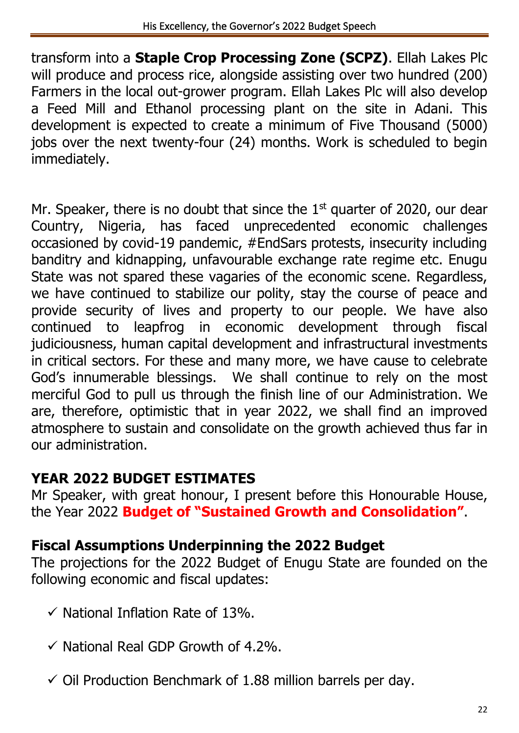transform into a **Staple Crop Processing Zone (SCPZ)**. Ellah Lakes Plc will produce and process rice, alongside assisting over two hundred (200) Farmers in the local out-grower program. Ellah Lakes Plc will also develop a Feed Mill and Ethanol processing plant on the site in Adani. This development is expected to create a minimum of Five Thousand (5000) jobs over the next twenty-four (24) months. Work is scheduled to begin immediately.

Mr. Speaker, there is no doubt that since the  $1<sup>st</sup>$  quarter of 2020, our dear Country, Nigeria, has faced unprecedented economic challenges occasioned by covid-19 pandemic, #EndSars protests, insecurity including banditry and kidnapping, unfavourable exchange rate regime etc. Enugu State was not spared these vagaries of the economic scene. Regardless, we have continued to stabilize our polity, stay the course of peace and provide security of lives and property to our people. We have also continued to leapfrog in economic development through fiscal judiciousness, human capital development and infrastructural investments in critical sectors. For these and many more, we have cause to celebrate God's innumerable blessings. We shall continue to rely on the most merciful God to pull us through the finish line of our Administration. We are, therefore, optimistic that in year 2022, we shall find an improved atmosphere to sustain and consolidate on the growth achieved thus far in our administration.

### **YEAR 2022 BUDGET ESTIMATES**

Mr Speaker, with great honour, I present before this Honourable House, the Year 2022 **Budget of "Sustained Growth and Consolidation"**.

### **Fiscal Assumptions Underpinning the 2022 Budget**

The projections for the 2022 Budget of Enugu State are founded on the following economic and fiscal updates:

- $\checkmark$  National Inflation Rate of 13%.
- $\checkmark$  National Real GDP Growth of 4.2%.
- $\checkmark$  Oil Production Benchmark of 1.88 million barrels per day.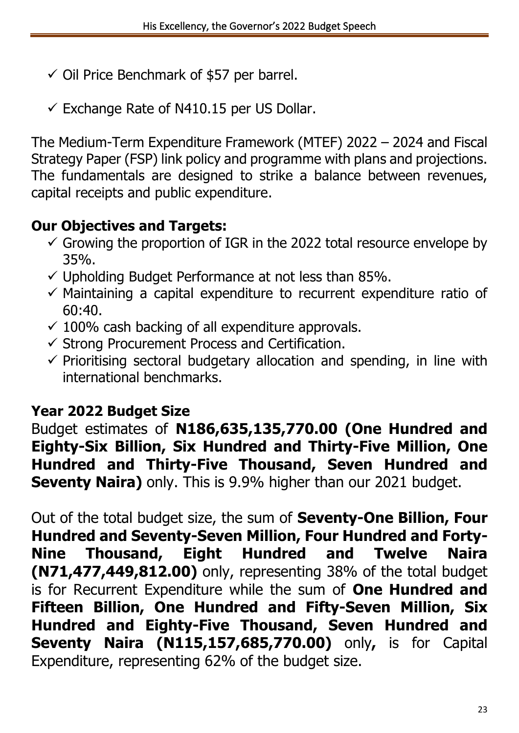- $\checkmark$  Oil Price Benchmark of \$57 per barrel.
- $\checkmark$  Exchange Rate of N410.15 per US Dollar.

The Medium-Term Expenditure Framework (MTEF) 2022 – 2024 and Fiscal Strategy Paper (FSP) link policy and programme with plans and projections. The fundamentals are designed to strike a balance between revenues, capital receipts and public expenditure.

### **Our Objectives and Targets:**

- $\checkmark$  Growing the proportion of IGR in the 2022 total resource envelope by 35%.
- $\checkmark$  Upholding Budget Performance at not less than 85%.
- $\checkmark$  Maintaining a capital expenditure to recurrent expenditure ratio of  $60:40.$
- $\checkmark$  100% cash backing of all expenditure approvals.
- $\checkmark$  Strong Procurement Process and Certification.
- $\checkmark$  Prioritising sectoral budgetary allocation and spending, in line with international benchmarks.

## **Year 2022 Budget Size**

Budget estimates of **N186,635,135,770.00 (One Hundred and Eighty-Six Billion, Six Hundred and Thirty-Five Million, One Hundred and Thirty-Five Thousand, Seven Hundred and Seventy Naira)** only. This is 9.9% higher than our 2021 budget.

Out of the total budget size, the sum of **Seventy-One Billion, Four Hundred and Seventy-Seven Million, Four Hundred and Forty-Nine Thousand, Eight Hundred and Twelve Naira (N71,477,449,812.00)** only, representing 38% of the total budget is for Recurrent Expenditure while the sum of **One Hundred and Fifteen Billion, One Hundred and Fifty-Seven Million, Six Hundred and Eighty-Five Thousand, Seven Hundred and Seventy Naira (N115,157,685,770.00)** only**,** is for Capital Expenditure, representing 62% of the budget size.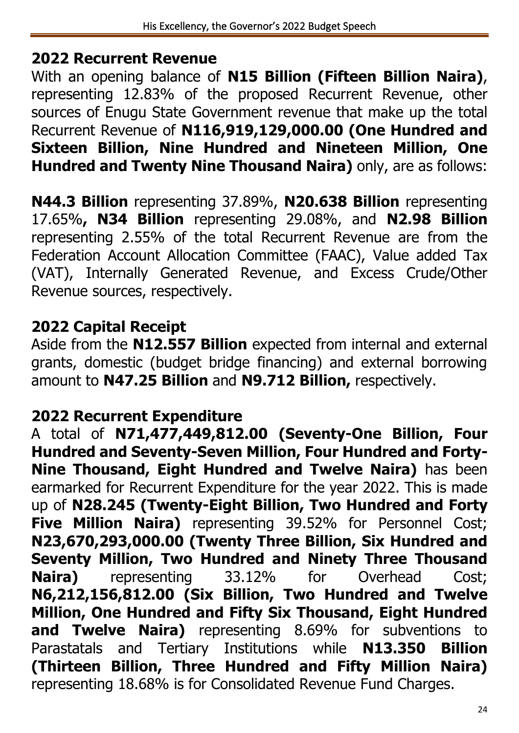### **2022 Recurrent Revenue**

With an opening balance of **N15 Billion (Fifteen Billion Naira)**, representing 12.83% of the proposed Recurrent Revenue, other sources of Enugu State Government revenue that make up the total Recurrent Revenue of **N116,919,129,000.00 (One Hundred and Sixteen Billion, Nine Hundred and Nineteen Million, One Hundred and Twenty Nine Thousand Naira)** only, are as follows:

**N44.3 Billion** representing 37.89%, **N20.638 Billion** representing 17.65%**, N34 Billion** representing 29.08%, and **N2.98 Billion** representing 2.55% of the total Recurrent Revenue are from the Federation Account Allocation Committee (FAAC), Value added Tax (VAT), Internally Generated Revenue, and Excess Crude/Other Revenue sources, respectively.

### **2022 Capital Receipt**

Aside from the **N12.557 Billion** expected from internal and external grants, domestic (budget bridge financing) and external borrowing amount to **N47.25 Billion** and **N9.712 Billion,** respectively.

### **2022 Recurrent Expenditure**

A total of **N71,477,449,812.00 (Seventy-One Billion, Four Hundred and Seventy-Seven Million, Four Hundred and Forty-Nine Thousand, Eight Hundred and Twelve Naira)** has been earmarked for Recurrent Expenditure for the year 2022. This is made up of **N28.245 (Twenty-Eight Billion, Two Hundred and Forty Five Million Naira)** representing 39.52% for Personnel Cost; **N23,670,293,000.00 (Twenty Three Billion, Six Hundred and Seventy Million, Two Hundred and Ninety Three Thousand Naira)** representing 33.12% for Overhead Cost; **N6,212,156,812.00 (Six Billion, Two Hundred and Twelve Million, One Hundred and Fifty Six Thousand, Eight Hundred and Twelve Naira)** representing 8.69% for subventions to Parastatals and Tertiary Institutions while **N13.350 Billion (Thirteen Billion, Three Hundred and Fifty Million Naira)** representing 18.68% is for Consolidated Revenue Fund Charges.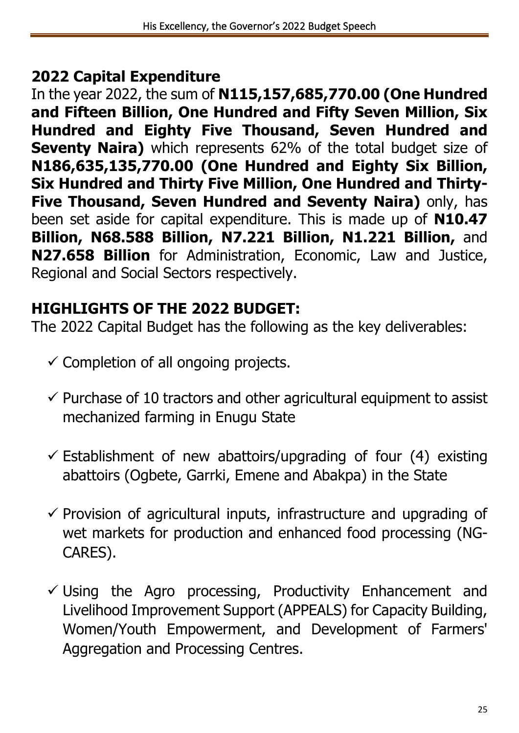### **2022 Capital Expenditure**

In the year 2022, the sum of **N115,157,685,770.00 (One Hundred and Fifteen Billion, One Hundred and Fifty Seven Million, Six Hundred and Eighty Five Thousand, Seven Hundred and Seventy Naira)** which represents 62% of the total budget size of **N186,635,135,770.00 (One Hundred and Eighty Six Billion, Six Hundred and Thirty Five Million, One Hundred and Thirty-Five Thousand, Seven Hundred and Seventy Naira)** only, has been set aside for capital expenditure. This is made up of **N10.47 Billion, N68.588 Billion, N7.221 Billion, N1.221 Billion,** and **N27.658 Billion** for Administration, Economic, Law and Justice, Regional and Social Sectors respectively.

## **HIGHLIGHTS OF THE 2022 BUDGET:**

The 2022 Capital Budget has the following as the key deliverables:

- $\checkmark$  Completion of all ongoing projects.
- $\checkmark$  Purchase of 10 tractors and other agricultural equipment to assist mechanized farming in Enugu State
- $\checkmark$  Establishment of new abattoirs/upgrading of four (4) existing abattoirs (Ogbete, Garrki, Emene and Abakpa) in the State
- $\checkmark$  Provision of agricultural inputs, infrastructure and upgrading of wet markets for production and enhanced food processing (NG-CARES).
- $\checkmark$  Using the Agro processing, Productivity Enhancement and Livelihood Improvement Support (APPEALS) for Capacity Building, Women/Youth Empowerment, and Development of Farmers' Aggregation and Processing Centres.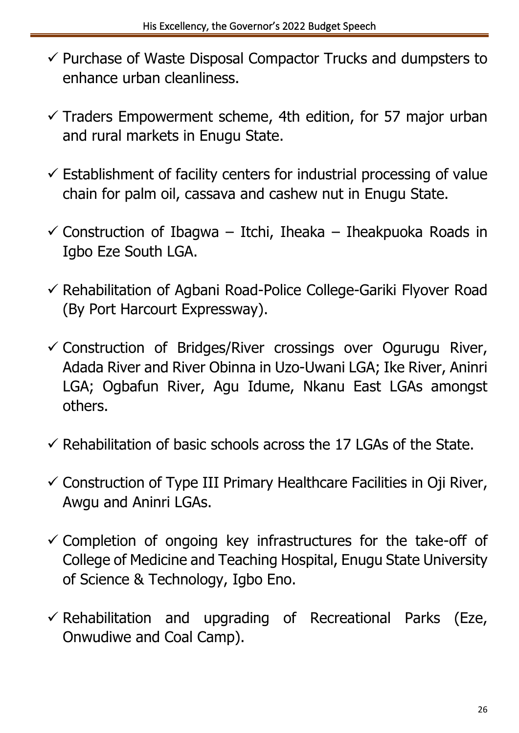- ✓ Purchase of Waste Disposal Compactor Trucks and dumpsters to enhance urban cleanliness.
- $\checkmark$  Traders Empowerment scheme, 4th edition, for 57 major urban and rural markets in Enugu State.
- $\checkmark$  Establishment of facility centers for industrial processing of value chain for palm oil, cassava and cashew nut in Enugu State.
- $\checkmark$  Construction of Ibagwa Itchi, Iheaka Iheakpuoka Roads in Igbo Eze South LGA.
- ✓ Rehabilitation of Agbani Road-Police College-Gariki Flyover Road (By Port Harcourt Expressway).
- $\checkmark$  Construction of Bridges/River crossings over Ogurugu River, Adada River and River Obinna in Uzo-Uwani LGA; Ike River, Aninri LGA; Ogbafun River, Agu Idume, Nkanu East LGAs amongst others.
- $\checkmark$  Rehabilitation of basic schools across the 17 LGAs of the State.
- $\checkmark$  Construction of Type III Primary Healthcare Facilities in Oji River, Awgu and Aninri LGAs.
- $\checkmark$  Completion of ongoing key infrastructures for the take-off of College of Medicine and Teaching Hospital, Enugu State University of Science & Technology, Igbo Eno.
- $\checkmark$  Rehabilitation and upgrading of Recreational Parks (Eze, Onwudiwe and Coal Camp).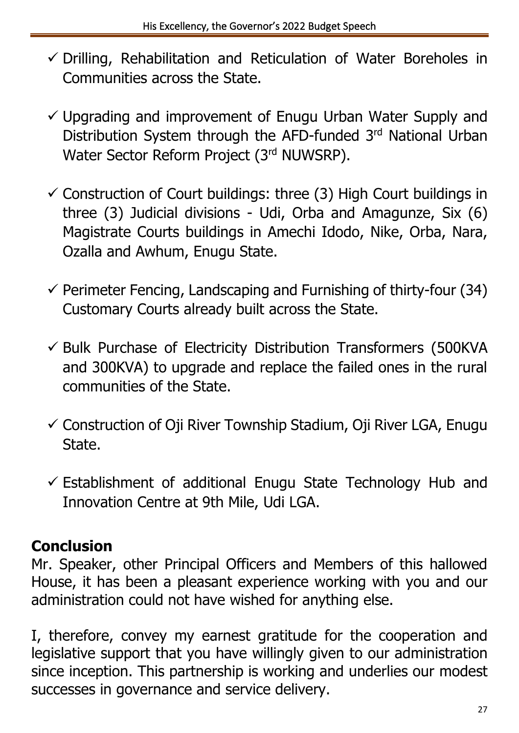- $\checkmark$  Drilling, Rehabilitation and Reticulation of Water Boreholes in Communities across the State.
- $\checkmark$  Upgrading and improvement of Enugu Urban Water Supply and Distribution System through the AFD-funded 3rd National Urban Water Sector Reform Project (3rd NUWSRP).
- $\checkmark$  Construction of Court buildings: three (3) High Court buildings in three (3) Judicial divisions - Udi, Orba and Amagunze, Six (6) Magistrate Courts buildings in Amechi Idodo, Nike, Orba, Nara, Ozalla and Awhum, Enugu State.
- $\checkmark$  Perimeter Fencing, Landscaping and Furnishing of thirty-four (34) Customary Courts already built across the State.
- $\checkmark$  Bulk Purchase of Electricity Distribution Transformers (500KVA and 300KVA) to upgrade and replace the failed ones in the rural communities of the State.
- $\checkmark$  Construction of Oji River Township Stadium, Oji River LGA, Enugu State.
- $\checkmark$  Establishment of additional Enugu State Technology Hub and Innovation Centre at 9th Mile, Udi LGA.

# **Conclusion**

Mr. Speaker, other Principal Officers and Members of this hallowed House, it has been a pleasant experience working with you and our administration could not have wished for anything else.

I, therefore, convey my earnest gratitude for the cooperation and legislative support that you have willingly given to our administration since inception. This partnership is working and underlies our modest successes in governance and service delivery.